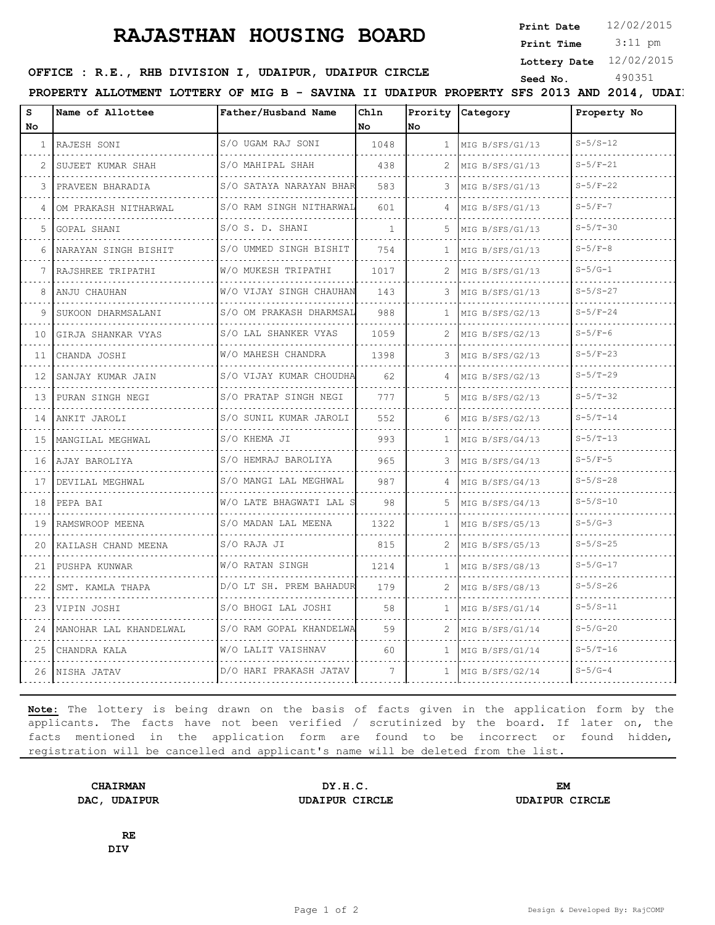## **RAJASTHAN HOUSING BOARD**

**Print Date**  $12/02/2015$ 

 3:11 pm **Print Time**

**Lottery Date** 12/02/2015

**SERICE : R.E., RHB DIVISION I, UDAIPUR, UDAIPUR CIRCLE** Seed No. 490351

PROPERTY ALLOTMENT LOTTERY OF MIG B - SAVINA II UDAIPUR PROPERTY SFS 2013 AND 2014, UDAI

| S<br>No.     | Name of Allottee        | Father/Husband Name         | Chln<br>No   | No           | Prority Category     | Property No    |
|--------------|-------------------------|-----------------------------|--------------|--------------|----------------------|----------------|
| $\mathbf{1}$ | RAJESH SONI             | S/O UGAM RAJ SONI           | 1048         | $\mathbf{1}$ | MIG B/SFS/G1/13      | $S - 5/S - 12$ |
| 2            | SUJEET KUMAR SHAH       | S/O MAHIPAL SHAH            | 438          | 2            | MIG B/SFS/G1/13      | $S - 5/F - 21$ |
| 3            | PRAVEEN BHARADIA        | S/O SATAYA NARAYAN BHAR     | 583          | 3            | MIG B/SFS/G1/13      | $S - 5/F - 22$ |
| 4            | OM PRAKASH NITHARWAL    | S/O RAM SINGH NITHARWAL     | 601          | 4            | MIG B/SFS/G1/13      | $S - 5/F - 7$  |
| 5.           | GOPAL SHANI             | S/O S. D. SHANI             | $\mathbf{1}$ | .5.          | MIG B/SFS/G1/13      | $S - 5/T - 30$ |
| 6            | NARAYAN SINGH BISHIT    | S/O UMMED SINGH BISHIT      | 754          | 1            | MIG B/SFS/G1/13      | $S-5/F-8$      |
| 7            | RAJSHREE TRIPATHI       | .<br>W/O MUKESH TRIPATHI    | 1017         | 2            | MIG B/SFS/G1/13      | $S-5/G-1$      |
| 8            | ANJU CHAUHAN            | W/O VIJAY SINGH CHAUHAN     | 143          | 3            | MIG B/SFS/G1/13      | $S - 5/S - 27$ |
| 9            | SUKOON DHARMSALANI      | S/O OM PRAKASH DHARMSAL     | 988          | $\mathbf{1}$ | MIG B/SFS/G2/13      | $S - 5/F - 24$ |
| 10           | GIRJA SHANKAR VYAS<br>. | .<br>S/O LAL SHANKER VYAS   | 1059         | 2            | MIG B/SFS/G2/13      | $S-5/F-6$      |
| 11           | CHANDA JOSHI            | W/O MAHESH CHANDRA          | 1398         | З            | MIG B/SFS/G2/13      | $S - 5/F - 23$ |
| 12           | SANJAY KUMAR JAIN       | S/O VIJAY KUMAR CHOUDHA     | 62           |              | MIG B/SFS/G2/13      | $S - 5/T - 29$ |
| 13           | PURAN SINGH NEGI        | S/O PRATAP SINGH NEGI       | 777          | 5.           | .<br>MIG B/SFS/G2/13 | $S - 5/T - 32$ |
| 14           | ANKIT JAROLI            | .<br>S/O SUNIL KUMAR JAROLI | 552          | 6            | MIG B/SFS/G2/13      | $S - 5/T - 14$ |
| 15 I         | IMANGILAL MEGHWAL       | S/O KHEMA JI                | 993          | $\mathbf{1}$ | MIG B/SFS/G4/13      | $S - 5/T - 13$ |
|              | 16   AJAY BAROLIYA      | S/O HEMRAJ BAROLIYA         | 965          |              | .<br>MIG B/SFS/G4/13 | $S-5/F-5$      |
| 17           | DEVILAL MEGHWAL         | .<br>S/O MANGI LAL MEGHWAL  | 987          | 4            | MIG B/SFS/G4/13      | $S - 5/S - 28$ |
| 18           | PEPA BAI                | W/O LATE BHAGWATI LAL S     | 98           | .5.          | MIG B/SFS/G4/13      | $S - 5/S - 10$ |
| 19           | RAMSWROOP MEENA         | S/O MADAN LAL MEENA         | 1322         | 1            | MIG B/SFS/G5/13      | $S - 5/G - 3$  |
| 20           | KAILASH CHAND MEENA     | S/O RAJA JI                 | 815          | 2            | MIG B/SFS/G5/13      | $S - 5/S - 25$ |
| 21           | PUSHPA KUNWAR           | W/O RATAN SINGH             | 1214         | 1.           | MIG B/SFS/G8/13      | $S - 5/G - 17$ |
| 22           | SMT. KAMLA THAPA        | D/O LT SH. PREM BAHADUR     | 179          | 2            | MIG B/SFS/G8/13      | $S - 5/S - 26$ |
| 23           | VIPIN JOSHI             | S/O BHOGI LAL JOSHI         | 58           | $\mathbf{1}$ | MIG B/SFS/G1/14      | $S - 5/S - 11$ |
| 24           | MANOHAR LAL KHANDELWAL  | S/O RAM GOPAL KHANDELWA     | 59           |              | MIG B/SFS/G1/14      | $S - 5/G - 20$ |
| 25           | CHANDRA KALA            | W/O LALIT VAISHNAV          | 60           | -1           | MIG B/SFS/G1/14      | $S - 5/T - 16$ |
| 26           | NISHA JATAV             | D/O HARI PRAKASH JATAV      | 7            | $\mathbf{1}$ | MIG B/SFS/G2/14      | $S - 5/G - 4$  |
|              |                         |                             |              |              |                      |                |

**Note:** The lottery is being drawn on the basis of facts given in the application form by the applicants. The facts have not been verified / scrutinized by the board. If later on, the facts mentioned in the application form are found to be incorrect or found hidden, registration will be cancelled and applicant's name will be deleted from the list.

**CHAIRMAN DY.H.C. EM DAC, UDAIPUR UDAIPUR CIRCLE UDAIPUR CIRCLE**

**RE DIV**